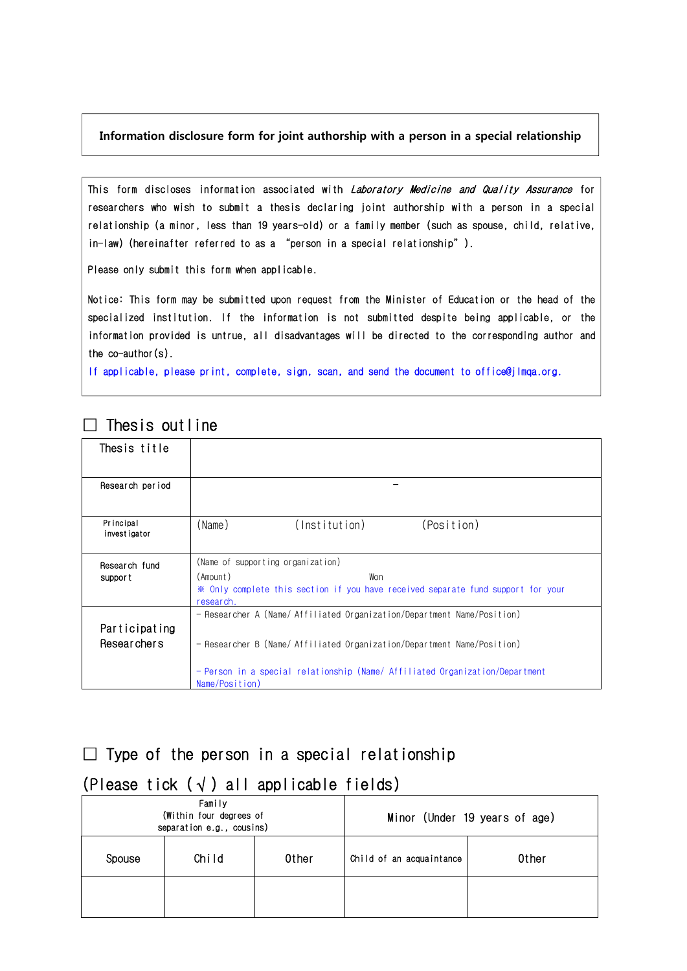#### **Information disclosure form for joint authorship with a person in a special relationship**

This form discloses information associated with *Laboratory Medicine and Quality Assurance* for researchers who wish to submit a thesis declaring joint authorship with a person in a special relationship (a minor, less than 19 years-old) or a family member (such as spouse, child, relative, in-law) (hereinafter referred to as a "person in a special relationship").

Please only submit this form when applicable.

Notice: This form may be submitted upon request from the Minister of Education or the head of the specialized institution. If the information is not submitted despite being applicable, or the information provided is untrue, all disadvantages will be directed to the corresponding author and the co-author(s).

If applicable, please print, complete, sign, scan, and send the document to office@jlmqa.org.

| Thesis title                 |                                                                                                                                                                                                                                                     |  |  |
|------------------------------|-----------------------------------------------------------------------------------------------------------------------------------------------------------------------------------------------------------------------------------------------------|--|--|
| Research period              |                                                                                                                                                                                                                                                     |  |  |
| Principal<br>investigator    | (Name)<br>(Institution)<br>(Position)                                                                                                                                                                                                               |  |  |
| Research fund<br>support     | (Name of supporting organization)<br>(Amount)<br>Won<br>※ Only complete this section if you have received separate fund support for your<br>research.                                                                                               |  |  |
| Participating<br>Researchers | - Researcher A (Name/Affiliated Organization/Department Name/Position)<br>- Researcher B (Name/ Affiliated Organization/Department Name/Position)<br>- Person in a special relationship (Name/ Affiliated Organization/Department<br>Name/Position) |  |  |

## $\Box$  Thesis outline

## $\square$  Type of the person in a special relationship

## (Please tick  $(\sqrt{})$  all applicable fields)

|        | Family<br>(Within four degrees of<br>separation e.g., cousins) |       | Minor (Under 19 years of age) |       |  |
|--------|----------------------------------------------------------------|-------|-------------------------------|-------|--|
| Spouse | Child                                                          | 0ther | Child of an acquaintance      | 0ther |  |
|        |                                                                |       |                               |       |  |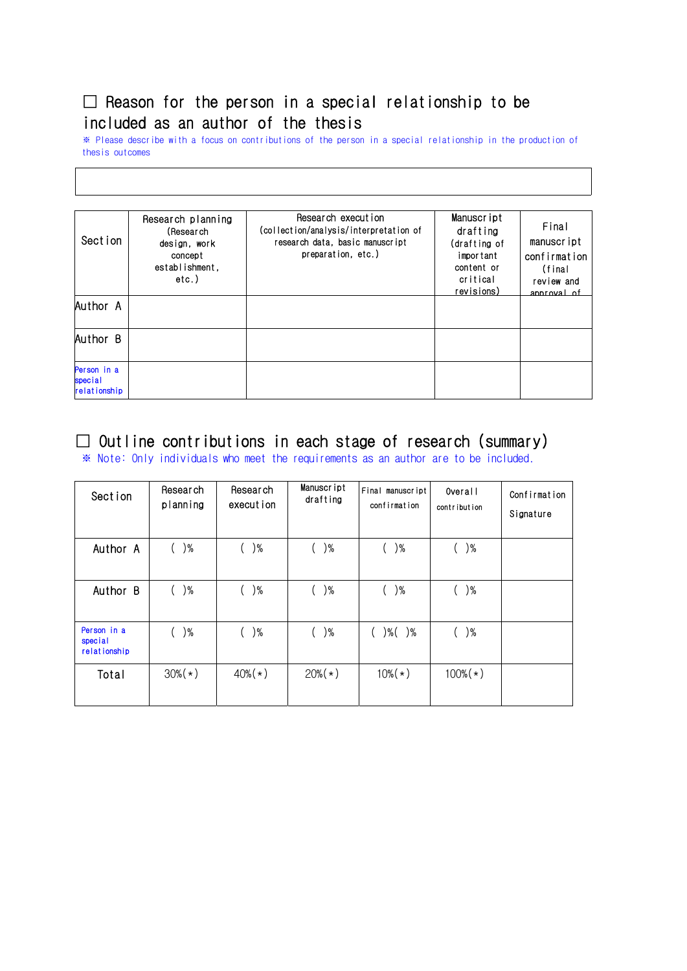# $\square$  Reason for the person in a special relationship to be included as an author of the thesis

※ Please describe with a focus on contributions of the person in a special relationship in the production of thesis outcomes

| Section                                | Research planning<br>(Research<br>design, work<br>concept<br>establishment.<br>etc.) | Research execution<br>(collection/analysis/interpretation of<br>research data, basic manuscript<br>preparation, etc.) | Manuscript<br>drafting<br>(drafting of<br>important<br>content or<br>critical<br>revisions) | Final<br>manuscript<br>confirmation<br>(final<br>review and<br>annroval of |
|----------------------------------------|--------------------------------------------------------------------------------------|-----------------------------------------------------------------------------------------------------------------------|---------------------------------------------------------------------------------------------|----------------------------------------------------------------------------|
| 'Author A                              |                                                                                      |                                                                                                                       |                                                                                             |                                                                            |
| Author B                               |                                                                                      |                                                                                                                       |                                                                                             |                                                                            |
| Person in a<br>special<br>relationship |                                                                                      |                                                                                                                       |                                                                                             |                                                                            |

## $\Box$  Outline contributions in each stage of research (summary)

※ Note: Only individuals who meet the requirements as an author are to be included.

| Section                                | Research<br>planning | Research<br>execution | Manuscript<br>drafting | Final manuscript<br>confirmation | Overall<br>contribution | Confirmation<br>Signature |
|----------------------------------------|----------------------|-----------------------|------------------------|----------------------------------|-------------------------|---------------------------|
| Author A                               | $)\%$<br>$\left($    | $)\%$                 | ( )%                   | $)\%$                            | $)\%$                   |                           |
| Author B                               | $)\%$                | $)\%$                 | ( )%                   | $)\%$                            | $)\%$                   |                           |
| Person in a<br>special<br>relationship | $)\%$                | $)\%$                 | $($ $)\%$              | $)\%$ ( )%                       | $)\%$                   |                           |
| Total                                  | $30\%$ ( $\star$ )   | $40\%$ ( $\star$ )    | $20\%(*)$              | $10\%$ ( $\star$ )               | $100\%$ ( $\star$ )     |                           |